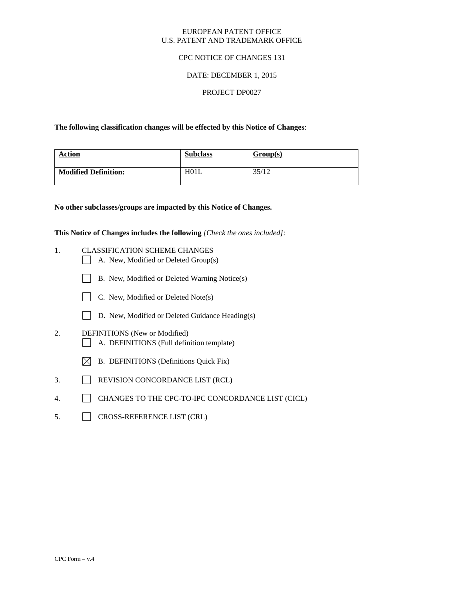#### EUROPEAN PATENT OFFICE U.S. PATENT AND TRADEMARK OFFICE

### CPC NOTICE OF CHANGES 131

## DATE: DECEMBER 1, 2015

### PROJECT DP0027

**The following classification changes will be effected by this Notice of Changes**:

| <b>Action</b>               | <b>Subclass</b> | Group(s) |
|-----------------------------|-----------------|----------|
| <b>Modified Definition:</b> | H01L            | 35/12    |

**No other subclasses/groups are impacted by this Notice of Changes.**

**This Notice of Changes includes the following** *[Check the ones included]:*

- 1. CLASSIFICATION SCHEME CHANGES
	- A. New, Modified or Deleted Group(s)
	- B. New, Modified or Deleted Warning Notice(s)
	- C. New, Modified or Deleted Note(s)
	- D. New, Modified or Deleted Guidance Heading(s)
- 2. DEFINITIONS (New or Modified) A. DEFINITIONS (Full definition template)
	- $\boxtimes$  B. DEFINITIONS (Definitions Quick Fix)
- 3. REVISION CONCORDANCE LIST (RCL)
- 4. CHANGES TO THE CPC-TO-IPC CONCORDANCE LIST (CICL)
- 5. CROSS-REFERENCE LIST (CRL)